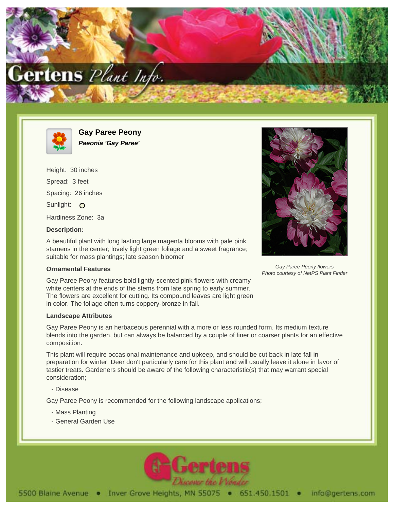



**Gay Paree Peony Paeonia 'Gay Paree'**

Height: 30 inches Spread: 3 feet Spacing: 26 inches Sunlight: O Hardiness Zone: 3a

## **Description:**

A beautiful plant with long lasting large magenta blooms with pale pink stamens in the center; lovely light green foliage and a sweet fragrance; suitable for mass plantings; late season bloomer

## **Ornamental Features**

Gay Paree Peony features bold lightly-scented pink flowers with creamy white centers at the ends of the stems from late spring to early summer. The flowers are excellent for cutting. Its compound leaves are light green in color. The foliage often turns coppery-bronze in fall.

## **Landscape Attributes**

Gay Paree Peony is an herbaceous perennial with a more or less rounded form. Its medium texture blends into the garden, but can always be balanced by a couple of finer or coarser plants for an effective composition.

This plant will require occasional maintenance and upkeep, and should be cut back in late fall in preparation for winter. Deer don't particularly care for this plant and will usually leave it alone in favor of tastier treats. Gardeners should be aware of the following characteristic(s) that may warrant special consideration;

- Disease

Gay Paree Peony is recommended for the following landscape applications;

- Mass Planting
- General Garden Use





Gay Paree Peony flowers Photo courtesy of NetPS Plant Finder